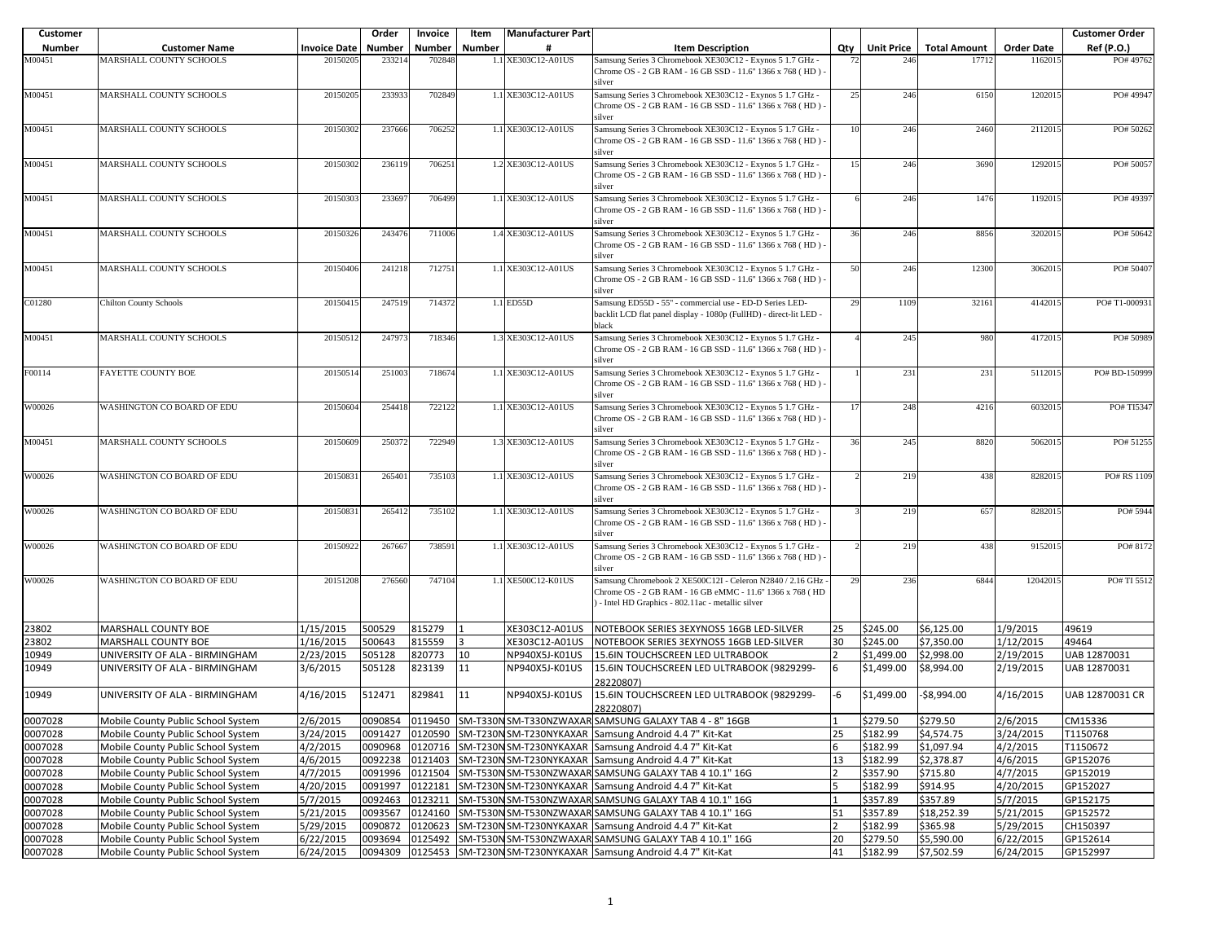| <b>Customer</b> |                                                                          |                       | Order            | Invoice          | Item   | <b>Manufacturer Part</b>         |                                                                                                                                  |     |                          |                          |                        | <b>Customer Order</b> |
|-----------------|--------------------------------------------------------------------------|-----------------------|------------------|------------------|--------|----------------------------------|----------------------------------------------------------------------------------------------------------------------------------|-----|--------------------------|--------------------------|------------------------|-----------------------|
| Number          | <b>Customer Name</b>                                                     | <b>Invoice Date</b>   | <b>Number</b>    | Number           | Number |                                  | <b>Item Description</b>                                                                                                          | Qty | <b>Unit Price</b>        | <b>Total Amount</b>      | <b>Order Date</b>      | Ref (P.O.)            |
| M00451          | MARSHALL COUNTY SCHOOLS                                                  | 2015020               | 23321            | 702848           |        | 1.1 XE303C12-A01US               | Samsung Series 3 Chromebook XE303C12 - Exynos 5 1.7 GHz -                                                                        |     | 246                      | 17712                    | 116201                 | PO#49762              |
|                 |                                                                          |                       |                  |                  |        |                                  | Chrome OS - 2 GB RAM - 16 GB SSD - 11.6" 1366 x 768 (HD)                                                                         |     |                          |                          |                        |                       |
| M00451          | MARSHALL COUNTY SCHOOLS                                                  | 20150205              | 233933           | 702849           |        | 1.1 XE303C12-A01US               | silver<br>Samsung Series 3 Chromebook XE303C12 - Exynos 5 1.7 GHz -                                                              | 25  | 246                      | 6150                     | 120201:                | PO#49947              |
|                 |                                                                          |                       |                  |                  |        |                                  | Chrome OS - 2 GB RAM - 16 GB SSD - 11.6" 1366 x 768 (HD) -                                                                       |     |                          |                          |                        |                       |
|                 |                                                                          |                       |                  |                  |        |                                  | silver                                                                                                                           |     |                          |                          |                        |                       |
| M00451          | MARSHALL COUNTY SCHOOLS                                                  | 20150302              | 237666           | 706252           |        | 1.1 XE303C12-A01US               | Samsung Series 3 Chromebook XE303C12 - Exynos 5 1.7 GHz -                                                                        | 10  | 246                      | 2460                     | 211201                 | PO#50262              |
|                 |                                                                          |                       |                  |                  |        |                                  | Chrome OS - 2 GB RAM - 16 GB SSD - 11.6" 1366 x 768 (HD)                                                                         |     |                          |                          |                        |                       |
|                 |                                                                          |                       |                  |                  |        |                                  | silver                                                                                                                           |     |                          |                          |                        |                       |
| M00451          | MARSHALL COUNTY SCHOOLS                                                  | 20150302              | 236119           | 706251           |        | 1.2 XE303C12-A01US               | Samsung Series 3 Chromebook XE303C12 - Exynos 5 1.7 GHz -<br>Chrome OS - 2 GB RAM - 16 GB SSD - 11.6" 1366 x 768 (HD) -          | 15  | 246                      | 3690                     | 129201                 | PO#5005               |
|                 |                                                                          |                       |                  |                  |        |                                  | silver                                                                                                                           |     |                          |                          |                        |                       |
| M00451          | MARSHALL COUNTY SCHOOLS                                                  | 20150303              | 233697           | 706499           |        | 1.1 XE303C12-A01US               | Samsung Series 3 Chromebook XE303C12 - Exynos 5 1.7 GHz -                                                                        |     | 246                      | 1476                     | 119201                 | PO#4939               |
|                 |                                                                          |                       |                  |                  |        |                                  | Chrome OS - 2 GB RAM - 16 GB SSD - 11.6" 1366 x 768 (HD)                                                                         |     |                          |                          |                        |                       |
|                 |                                                                          |                       |                  |                  |        |                                  | silver                                                                                                                           |     |                          |                          |                        |                       |
| M00451          | MARSHALL COUNTY SCHOOLS                                                  | 20150326              | 243476           | 711006           |        | 1.4 XE303C12-A01US               | Samsung Series 3 Chromebook XE303C12 - Exynos 5 1.7 GHz -                                                                        | 36  | 246                      | 8856                     | 320201                 | PO#50642              |
|                 |                                                                          |                       |                  |                  |        |                                  | Chrome OS - 2 GB RAM - 16 GB SSD - 11.6" 1366 x 768 (HD) -<br>silver                                                             |     |                          |                          |                        |                       |
| M00451          | MARSHALL COUNTY SCHOOLS                                                  | 20150406              | 241218           | 712751           |        | 1.1 XE303C12-A01US               | Samsung Series 3 Chromebook XE303C12 - Exynos 5 1.7 GHz -                                                                        | 50  | 246                      | 12300                    | 306201:                | PO#50407              |
|                 |                                                                          |                       |                  |                  |        |                                  | Chrome OS - 2 GB RAM - 16 GB SSD - 11.6" 1366 x 768 (HD)                                                                         |     |                          |                          |                        |                       |
|                 |                                                                          |                       |                  |                  |        |                                  | silver                                                                                                                           |     |                          |                          |                        |                       |
| C01280          | <b>Chilton County Schools</b>                                            | 20150415              | 247519           | 714372           |        | 1.1 ED55D                        | Samsung ED55D - 55" - commercial use - ED-D Series LED-                                                                          | 29  | 1109                     | 32161                    | 4142015                | PO#T1-00093           |
|                 |                                                                          |                       |                  |                  |        |                                  | backlit LCD flat panel display - 1080p (FullHD) - direct-lit LED -                                                               |     |                          |                          |                        |                       |
|                 | MARSHALL COUNTY SCHOOLS                                                  |                       |                  |                  |        |                                  | black                                                                                                                            |     |                          |                          |                        |                       |
| M00451          |                                                                          | 20150512              | 247973           | 718346           |        | 1.3 XE303C12-A01US               | Samsung Series 3 Chromebook XE303C12 - Exynos 5 1.7 GHz -<br>Chrome OS - 2 GB RAM - 16 GB SSD - 11.6" 1366 x 768 (HD)            |     | 245                      | 980                      | 417201                 | PO# 50989             |
|                 |                                                                          |                       |                  |                  |        |                                  | silver                                                                                                                           |     |                          |                          |                        |                       |
| F00114          | FAYETTE COUNTY BOE                                                       | 20150514              | 251003           | 718674           |        | 1.1 XE303C12-A01US               | Samsung Series 3 Chromebook XE303C12 - Exynos 5 1.7 GHz -                                                                        |     | 231                      | 231                      | 5112015                | PO# BD-150999         |
|                 |                                                                          |                       |                  |                  |        |                                  | Chrome OS - 2 GB RAM - 16 GB SSD - 11.6" 1366 x 768 (HD) -                                                                       |     |                          |                          |                        |                       |
|                 |                                                                          |                       |                  |                  |        |                                  | silver                                                                                                                           |     |                          |                          |                        |                       |
| W00026          | WASHINGTON CO BOARD OF EDU                                               | 20150604              | 254418           | 722122           |        | 1.1 XE303C12-A01US               | Samsung Series 3 Chromebook XE303C12 - Exynos 5 1.7 GHz -                                                                        | 17  | 248                      | 4216                     | 603201                 | PO# TI5347            |
|                 |                                                                          |                       |                  |                  |        |                                  | Chrome OS - 2 GB RAM - 16 GB SSD - 11.6" 1366 x 768 (HD)                                                                         |     |                          |                          |                        |                       |
| M00451          | MARSHALL COUNTY SCHOOLS                                                  | 20150609              | 250372           | 722949           |        | 1.3 XE303C12-A01US               | silver<br>Samsung Series 3 Chromebook XE303C12 - Exynos 5 1.7 GHz -                                                              | 36  | 245                      | 8820                     | 506201:                | PO#51255              |
|                 |                                                                          |                       |                  |                  |        |                                  | Chrome OS - 2 GB RAM - 16 GB SSD - 11.6" 1366 x 768 (HD)                                                                         |     |                          |                          |                        |                       |
|                 |                                                                          |                       |                  |                  |        |                                  | silver                                                                                                                           |     |                          |                          |                        |                       |
| W00026          | WASHINGTON CO BOARD OF EDU                                               | 20150831              | 265401           | 735103           |        | 1.1 XE303C12-A01US               | Samsung Series 3 Chromebook XE303C12 - Exynos 5 1.7 GHz -                                                                        |     | 219                      | 438                      | 828201                 | PO# RS 1109           |
|                 |                                                                          |                       |                  |                  |        |                                  | Chrome OS - 2 GB RAM - 16 GB SSD - 11.6" 1366 x 768 (HD)                                                                         |     |                          |                          |                        |                       |
|                 |                                                                          |                       |                  |                  |        |                                  | silver                                                                                                                           |     |                          |                          |                        |                       |
| W00026          | WASHINGTON CO BOARD OF EDU                                               | 20150831              | 265412           | 735102           |        | 1.1 XE303C12-A01US               | Samsung Series 3 Chromebook XE303C12 - Exynos 5 1.7 GHz -                                                                        |     | 219                      | 657                      | 828201                 | PO# 5944              |
|                 |                                                                          |                       |                  |                  |        |                                  | Chrome OS - 2 GB RAM - 16 GB SSD - 11.6" 1366 x 768 (HD) -<br>silver                                                             |     |                          |                          |                        |                       |
| W00026          | WASHINGTON CO BOARD OF EDU                                               | 20150922              | 267667           | 738591           |        | 1.1 XE303C12-A01US               | Samsung Series 3 Chromebook XE303C12 - Exynos 5 1.7 GHz -                                                                        |     | 219                      | 438                      | 915201:                | PO#8172               |
|                 |                                                                          |                       |                  |                  |        |                                  | Chrome OS - 2 GB RAM - 16 GB SSD - 11.6" 1366 x 768 (HD) -                                                                       |     |                          |                          |                        |                       |
|                 |                                                                          |                       |                  |                  |        |                                  | silver                                                                                                                           |     |                          |                          |                        |                       |
| W00026          | WASHINGTON CO BOARD OF EDU                                               | 20151208              | 276560           | 747104           |        | 1.1 XE500C12-K01US               | Samsung Chromebook 2 XE500C12I - Celeron N2840 / 2.16 GHz                                                                        | 29  | 236                      | 6844                     | 1204201:               | PO# TI 5512           |
|                 |                                                                          |                       |                  |                  |        |                                  | Chrome OS - 2 GB RAM - 16 GB eMMC - 11.6" 1366 x 768 (HD                                                                         |     |                          |                          |                        |                       |
|                 |                                                                          |                       |                  |                  |        |                                  | - Intel HD Graphics - 802.11ac - metallic silver                                                                                 |     |                          |                          |                        |                       |
|                 |                                                                          |                       |                  |                  |        |                                  |                                                                                                                                  |     |                          | \$6.125.00               |                        |                       |
| 23802           | MARSHALL COUNTY BOE<br>MARSHALL COUNTY BOE                               | 1/15/2015             | 500529<br>500643 | 815279<br>815559 |        | XE303C12-A01US<br>XE303C12-A01US | NOTEBOOK SERIES 3EXYNOS5 16GB LED-SILVER                                                                                         | 25  | \$245.00<br>\$245.00     | \$7,350.00               | 1/9/2015<br>1/12/2015  | 49619<br>49464        |
| 23802           |                                                                          | 1/16/2015             | 505128           | 820773           | 10     |                                  | NOTEBOOK SERIES 3EXYNOS5 16GB LED-SILVER                                                                                         | 30  |                          | \$2,998.00               |                        | UAB 12870031          |
| 10949<br>10949  | UNIVERSITY OF ALA - BIRMINGHAM<br>UNIVERSITY OF ALA - BIRMINGHAM         | 2/23/2015<br>3/6/2015 | 505128           | 823139           | 11     | NP940X5J-K01US<br>NP940X5J-K01US | 15.6IN TOUCHSCREEN LED ULTRABOOK<br>15.6IN TOUCHSCREEN LED ULTRABOOK (9829299-                                                   | 6   | \$1,499.00<br>\$1,499.00 | \$8,994.00               | 2/19/2015<br>2/19/2015 | UAB 12870031          |
|                 |                                                                          |                       |                  |                  |        |                                  | 28220807)                                                                                                                        |     |                          |                          |                        |                       |
|                 |                                                                          |                       | 512471           | 829841           | 11     |                                  | 15.6IN TOUCHSCREEN LED ULTRABOOK (9829299-                                                                                       | -6  | \$1,499.00               | \$8,994.00               |                        |                       |
| 10949           | UNIVERSITY OF ALA - BIRMINGHAM                                           | 4/16/2015             |                  |                  |        | NP940X5J-K01US                   |                                                                                                                                  |     |                          |                          | 4/16/2015              | UAB 12870031 CR       |
| 0007028         |                                                                          | 2/6/2015              |                  |                  |        |                                  | 28220807)<br>0090854 0119450 SM-T330N SM-T330N ZWAXAR SAMSUNG GALAXY TAB 4 - 8" 16GB                                             |     | \$279.50                 | \$279.50                 | 2/6/2015               | CM15336               |
| 0007028         | Mobile County Public School System                                       | 3/24/2015             | 0091427          |                  |        |                                  |                                                                                                                                  | 25  |                          |                          | 3/24/2015              | T1150768              |
| 0007028         | Mobile County Public School System<br>Mobile County Public School System | 4/2/2015              | 0090968          |                  |        |                                  | 0120590 SM-T230N SM-T230NYKAXAR Samsung Android 4.4 7" Kit-Kat<br>0120716 SM-T230N SM-T230NYKAXAR Samsung Android 4.4 7" Kit-Kat | 6   | \$182.99<br>\$182.99     | \$4,574.75<br>\$1.097.94 | 4/2/2015               | T1150672              |
| 0007028         | Mobile County Public School System                                       | 4/6/2015              | 0092238          | 0121403          |        |                                  | SM-T230N SM-T230NYKAXAR Samsung Android 4.4 7" Kit-Kat                                                                           | 13  | \$182.99                 | \$2,378.87               | 4/6/2015               | GP152076              |
| 0007028         | Mobile County Public School System                                       | 4/7/2015              | 0091996          |                  |        |                                  | 0121504 SM-T530N SM-T530NZWAXAR SAMSUNG GALAXY TAB 4 10.1" 16G                                                                   |     | \$357.90                 | \$715.80                 | 4/7/2015               | GP152019              |
| 0007028         | Mobile County Public School System                                       | 4/20/2015             | 0091997          |                  |        |                                  | 0122181 SM-T230N SM-T230NYKAXAR Samsung Android 4.4 7" Kit-Kat                                                                   | 5   | \$182.99                 | \$914.95                 | 4/20/2015              | GP152027              |
| 0007028         | Mobile County Public School System                                       | 5/7/2015              | 0092463          |                  |        |                                  | 0123211 SM-T530N SM-T530NZWAXAR SAMSUNG GALAXY TAB 4 10.1" 16G                                                                   |     | \$357.89                 | \$357.89                 | 5/7/2015               | GP152175              |
| 0007028         | Mobile County Public School System                                       | 5/21/2015             | 0093567          |                  |        |                                  | 0124160 SM-T530N SM-T530NZWAXAR SAMSUNG GALAXY TAB 4 10.1" 16G                                                                   | 51  | \$357.89                 | \$18,252.39              | 5/21/2015              | GP152572              |
| 0007028         | Mobile County Public School System                                       | 5/29/2015             | 0090872          |                  |        |                                  | 0120623 SM-T230N SM-T230NYKAXAR Samsung Android 4.4 7" Kit-Kat                                                                   |     | \$182.99                 | \$365.98                 | 5/29/2015              | CH150397              |
| 0007028         | Mobile County Public School System                                       | 6/22/2015             | 0093694          |                  |        |                                  | 0125492 SM-T530N SM-T530NZWAXAR SAMSUNG GALAXY TAB 4 10.1" 16G                                                                   | 20  | \$279.50                 | \$5,590.00               | 6/22/2015              | GP152614              |
| 0007028         | Mobile County Public School System                                       | 6/24/2015             | 0094309          |                  |        |                                  | 0125453 SM-T230N SM-T230NYKAXAR Samsung Android 4.4 7" Kit-Kat                                                                   | 41  | \$182.99                 | \$7,502.59               | 6/24/2015              | GP152997              |
|                 |                                                                          |                       |                  |                  |        |                                  |                                                                                                                                  |     |                          |                          |                        |                       |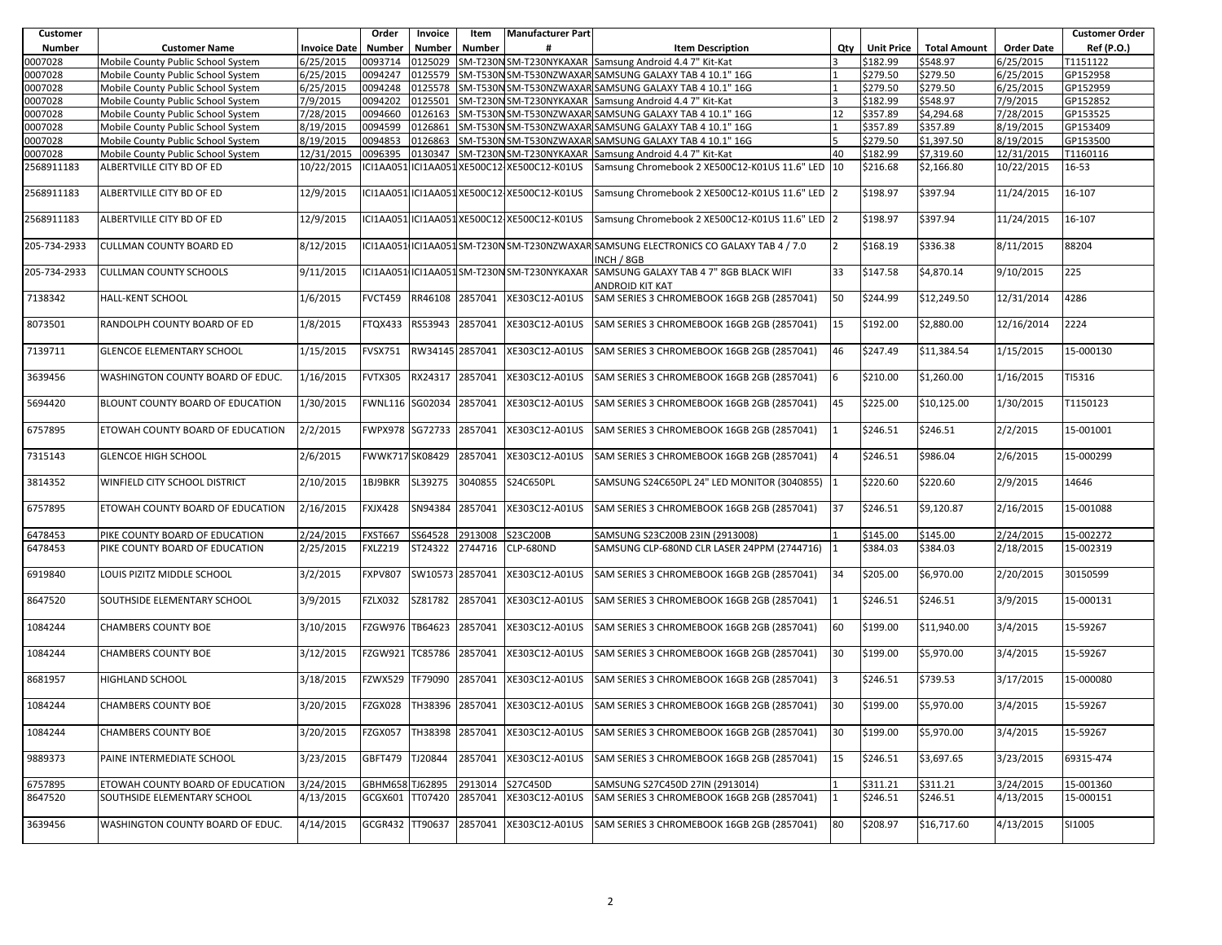| Customer      |                                    |                     | Order           | Invoice         | Item    | <b>Manufacturer Part</b>                    |                                                                                                    |     |                   |                     |                   | <b>Customer Order</b> |
|---------------|------------------------------------|---------------------|-----------------|-----------------|---------|---------------------------------------------|----------------------------------------------------------------------------------------------------|-----|-------------------|---------------------|-------------------|-----------------------|
| <b>Number</b> | <b>Customer Name</b>               | <b>Invoice Date</b> | Number          | <b>Number</b>   | Number  |                                             | <b>Item Description</b>                                                                            | Qtv | <b>Unit Price</b> | <b>Total Amount</b> | <b>Order Date</b> | Ref (P.O.)            |
| 0007028       | Mobile County Public School System | 6/25/2015           | 0093714         | 0125029         |         |                                             | SM-T230N SM-T230NYKAXAR Samsung Android 4.4 7" Kit-Kat                                             |     | \$182.99          | \$548.97            | 5/25/2015         | T1151122              |
| 0007028       | Mobile County Public School System | 6/25/2015           | 0094247         | 0125579         |         |                                             | SM-T530N SM-T530NZWAXAR SAMSUNG GALAXY TAB 4 10.1" 16G                                             |     | \$279.50          | \$279.50            | 6/25/2015         | GP152958              |
| 0007028       | Mobile County Public School System | 6/25/2015           | 0094248         | 0125578         |         |                                             | SM-T530N SM-T530NZWAXAR SAMSUNG GALAXY TAB 4 10.1" 16G                                             |     | \$279.50          | \$279.50            | 6/25/2015         | GP152959              |
| 0007028       | Mobile County Public School System | 7/9/2015            | 0094202         | 0125501         |         |                                             | SM-T230N SM-T230NYKAXAR Samsung Android 4.4 7" Kit-Kat                                             |     | \$182.99          | \$548.97            | 7/9/2015          | GP152852              |
| 0007028       | Mobile County Public School System | 7/28/2015           | 0094660         | 0126163         |         |                                             | SM-T530N SM-T530NZWAXAR SAMSUNG GALAXY TAB 4 10.1" 16G                                             | 12  | \$357.89          | \$4,294.68          | 7/28/2015         | GP153525              |
| 0007028       | Mobile County Public School System | 8/19/2015           | 0094599         | 0126861         |         |                                             | SM-T530N SM-T530NZWAXAR SAMSUNG GALAXY TAB 4 10.1" 16G                                             |     | \$357.89          | \$357.89            | 8/19/2015         | GP153409              |
| 0007028       | Mobile County Public School System | 8/19/2015           | 0094853         | 0126863         |         |                                             | SM-T530N SM-T530NZWAXAR SAMSUNG GALAXY TAB 4 10.1" 16G                                             |     | \$279.50          | \$1,397.50          | 8/19/2015         | GP153500              |
| 0007028       | Mobile County Public School System | 12/31/2015          | 0096395         | 0130347         |         |                                             | SM-T230N SM-T230NYKAXAR Samsung Android 4.4 7" Kit-Kat                                             | 40  | \$182.99          | \$7,319.60          | 12/31/2015        | T1160116              |
| 2568911183    | ALBERTVILLE CITY BD OF ED          | 10/22/2015          | ICI1AA051       |                 |         | ICI1AA051XE500C12-XE500C12-K01US            | Samsung Chromebook 2 XE500C12-K01US 11.6" LED 10                                                   |     | \$216.68          | \$2,166.80          | 10/22/2015        | 16-53                 |
|               |                                    |                     |                 |                 |         |                                             |                                                                                                    |     |                   |                     |                   |                       |
| 2568911183    | ALBERTVILLE CITY BD OF ED          | 12/9/2015           |                 |                 |         | ICI1AA051 ICI1AA051 XE500C12 XE500C12-K01US | Samsung Chromebook 2 XE500C12-K01US 11.6" LED 2                                                    |     | \$198.97          | \$397.94            | 11/24/2015        | 16-107                |
| 2568911183    | ALBERTVILLE CITY BD OF ED          | 12/9/2015           |                 |                 |         | ICI1AA051 ICI1AA051 XE500C12-XE500C12-K01US | Samsung Chromebook 2 XE500C12-K01US 11.6" LED 2                                                    |     | \$198.97          | \$397.94            | 11/24/2015        | 16-107                |
| 205-734-2933  | <b>CULLMAN COUNTY BOARD ED</b>     | 8/12/2015           |                 |                 |         |                                             | ICI1AA051IICI1AA051 SM-T230NSM-T230NZWAXAR SAMSUNG ELECTRONICS CO GALAXY TAB 4 / 7.0<br>INCH / 8GB | l2  | \$168.19          | \$336.38            | 8/11/2015         | 88204                 |
| 205-734-2933  | <b>CULLMAN COUNTY SCHOOLS</b>      | 9/11/2015           | ICI1AA051       |                 |         | ICI1AA051SM-T230NSM-T230NYKAXAR             | SAMSUNG GALAXY TAB 4 7" 8GB BLACK WIFI                                                             | 33  | \$147.58          | \$4,870.14          | 9/10/2015         | 225                   |
|               |                                    |                     |                 |                 |         |                                             | ANDROID KIT KAT                                                                                    |     |                   |                     |                   |                       |
| 7138342       | <b>HALL-KENT SCHOOL</b>            | 1/6/2015            | <b>FVCT459</b>  | RR46108         | 2857041 | XE303C12-A01US                              | SAM SERIES 3 CHROMEBOOK 16GB 2GB (2857041)                                                         | 50  | \$244.99          | \$12,249.50         | 12/31/2014        | 4286                  |
|               |                                    |                     |                 |                 |         |                                             |                                                                                                    |     |                   |                     |                   |                       |
| 8073501       | RANDOLPH COUNTY BOARD OF ED        | 1/8/2015            | FTQX433         | RS53943         | 2857041 | XE303C12-A01US                              | SAM SERIES 3 CHROMEBOOK 16GB 2GB (2857041)                                                         | 15  | \$192.00          | \$2,880.00          | 12/16/2014        | 2224                  |
| 7139711       | <b>GLENCOE ELEMENTARY SCHOOL</b>   | 1/15/2015           | <b>FVSX751</b>  | RW34145 2857041 |         | XE303C12-A01US                              | SAM SERIES 3 CHROMEBOOK 16GB 2GB (2857041)                                                         | 46  | \$247.49          | \$11,384.54         | 1/15/2015         | 15-000130             |
| 3639456       | WASHINGTON COUNTY BOARD OF EDUC.   | 1/16/2015           | <b>FVTX305</b>  | RX24317         | 2857041 | XE303C12-A01US                              | SAM SERIES 3 CHROMEBOOK 16GB 2GB (2857041)                                                         | 6   | \$210.00          | \$1,260.00          | 1/16/2015         | TI5316                |
| 5694420       | BLOUNT COUNTY BOARD OF EDUCATION   | 1/30/2015           | <b>FWNL116</b>  | SG02034         | 2857041 | XE303C12-A01US                              | SAM SERIES 3 CHROMEBOOK 16GB 2GB (2857041)                                                         | 45  | \$225.00          | \$10,125.00         | 1/30/2015         | T1150123              |
| 6757895       | ETOWAH COUNTY BOARD OF EDUCATION   | 2/2/2015            | FWPX978 SG72733 |                 | 2857041 | XE303C12-A01US                              | SAM SERIES 3 CHROMEBOOK 16GB 2GB (2857041)                                                         | 11  | \$246.51          | \$246.51            | 2/2/2015          | 15-001001             |
| 7315143       | <b>GLENCOE HIGH SCHOOL</b>         | 2/6/2015            | FWWK717 SK08429 |                 | 2857041 | XE303C12-A01US                              | SAM SERIES 3 CHROMEBOOK 16GB 2GB (2857041)                                                         | 14  | \$246.51          | \$986.04            | 2/6/2015          | 15-000299             |
| 3814352       | WINFIELD CITY SCHOOL DISTRICT      | 2/10/2015           | 1BJ9BKR         | SL39275         | 3040855 | S24C650PL                                   | SAMSUNG S24C650PL 24" LED MONITOR (3040855)                                                        | 1   | \$220.60          | \$220.60            | 2/9/2015          | 14646                 |
| 6757895       | ETOWAH COUNTY BOARD OF EDUCATION   | 2/16/2015           | FXJX428         | SN94384         | 2857041 | XE303C12-A01US                              | SAM SERIES 3 CHROMEBOOK 16GB 2GB (2857041)                                                         | 37  | \$246.51          | \$9,120.87          | 2/16/2015         | 15-001088             |
| 6478453       | PIKE COUNTY BOARD OF EDUCATION     | 2/24/2015           | <b>FXST667</b>  | SS64528         | 2913008 | S23C200B                                    | SAMSUNG S23C200B 23IN (2913008)                                                                    |     | \$145.00          | \$145.00            | 2/24/2015         | 15-002272             |
| 6478453       | PIKE COUNTY BOARD OF EDUCATION     | 2/25/2015           | <b>FXLZ219</b>  | ST24322         | 2744716 | <b>CLP-680ND</b>                            | SAMSUNG CLP-680ND CLR LASER 24PPM (2744716)                                                        |     | \$384.03          | \$384.03            | 2/18/2015         | 15-002319             |
|               |                                    |                     |                 |                 |         |                                             |                                                                                                    |     |                   |                     |                   |                       |
| 6919840       | LOUIS PIZITZ MIDDLE SCHOOL         | 3/2/2015            | <b>FXPV807</b>  | SW10573         | 2857041 | XE303C12-A01US                              | SAM SERIES 3 CHROMEBOOK 16GB 2GB (2857041)                                                         | 34  | \$205.00          | \$6,970.00          | 2/20/2015         | 30150599              |
| 8647520       | SOUTHSIDE ELEMENTARY SCHOOL        | 3/9/2015            | FZLX032         | SZ81782         | 2857041 | XE303C12-A01US                              | SAM SERIES 3 CHROMEBOOK 16GB 2GB (2857041)                                                         |     | \$246.51          | \$246.51            | 3/9/2015          | 15-000131             |
| 1084244       | <b>CHAMBERS COUNTY BOE</b>         | 3/10/2015           | FZGW976         | TB64623         | 2857041 | XE303C12-A01US                              | SAM SERIES 3 CHROMEBOOK 16GB 2GB (2857041)                                                         | 60  | \$199.00          | \$11,940.00         | 3/4/2015          | 15-59267              |
| 1084244       | <b>CHAMBERS COUNTY BOE</b>         | 3/12/2015           | FZGW921         | TC85786         | 2857041 | XE303C12-A01US                              | SAM SERIES 3 CHROMEBOOK 16GB 2GB (2857041)                                                         | 30  | \$199.00          | \$5,970.00          | 3/4/2015          | 15-59267              |
| 8681957       | <b>HIGHLAND SCHOOL</b>             | 3/18/2015           | FZWX529         | TF79090         | 2857041 | XE303C12-A01US                              | SAM SERIES 3 CHROMEBOOK 16GB 2GB (2857041)                                                         | 13  | \$246.51          | \$739.53            | 3/17/2015         | 15-000080             |
| 1084244       | <b>CHAMBERS COUNTY BOE</b>         | 3/20/2015           | FZGX028         | TH38396         | 2857041 | XE303C12-A01US                              | SAM SERIES 3 CHROMEBOOK 16GB 2GB (2857041)                                                         | 30  | \$199.00          | \$5,970.00          | 3/4/2015          | 15-59267              |
| 1084244       | CHAMBERS COUNTY BOE                | 3/20/2015           | FZGX057         | TH38398         | 2857041 | XE303C12-A01US                              | SAM SERIES 3 CHROMEBOOK 16GB 2GB (2857041)                                                         | 30  | \$199.00          | \$5,970.00          | 3/4/2015          | 15-59267              |
| 9889373       | PAINE INTERMEDIATE SCHOOL          | 3/23/2015           | <b>GBFT479</b>  | TJ20844         | 2857041 | XE303C12-A01US                              | SAM SERIES 3 CHROMEBOOK 16GB 2GB (2857041)                                                         | 15  | \$246.51          | \$3,697.65          | 3/23/2015         | 69315-474             |
| 6757895       | ETOWAH COUNTY BOARD OF EDUCATION   | 3/24/2015           | GBHM658 TJ62895 |                 | 2913014 | S27C450D                                    | SAMSUNG S27C450D 27IN (2913014)                                                                    |     | \$311.21          | \$311.21            | 3/24/2015         | 15-001360             |
| 8647520       | SOUTHSIDE ELEMENTARY SCHOOL        | 4/13/2015           | GCGX601         | TT07420         | 2857041 | XE303C12-A01US                              | SAM SERIES 3 CHROMEBOOK 16GB 2GB (2857041)                                                         |     | \$246.51          | \$246.51            | 4/13/2015         | 15-000151             |
| 3639456       | WASHINGTON COUNTY BOARD OF EDUC.   | 4/14/2015           | GCGR432         | TT90637         | 2857041 | XE303C12-A01US                              | SAM SERIES 3 CHROMEBOOK 16GB 2GB (2857041)                                                         | 80  | \$208.97          | \$16,717.60         | 4/13/2015         | SI1005                |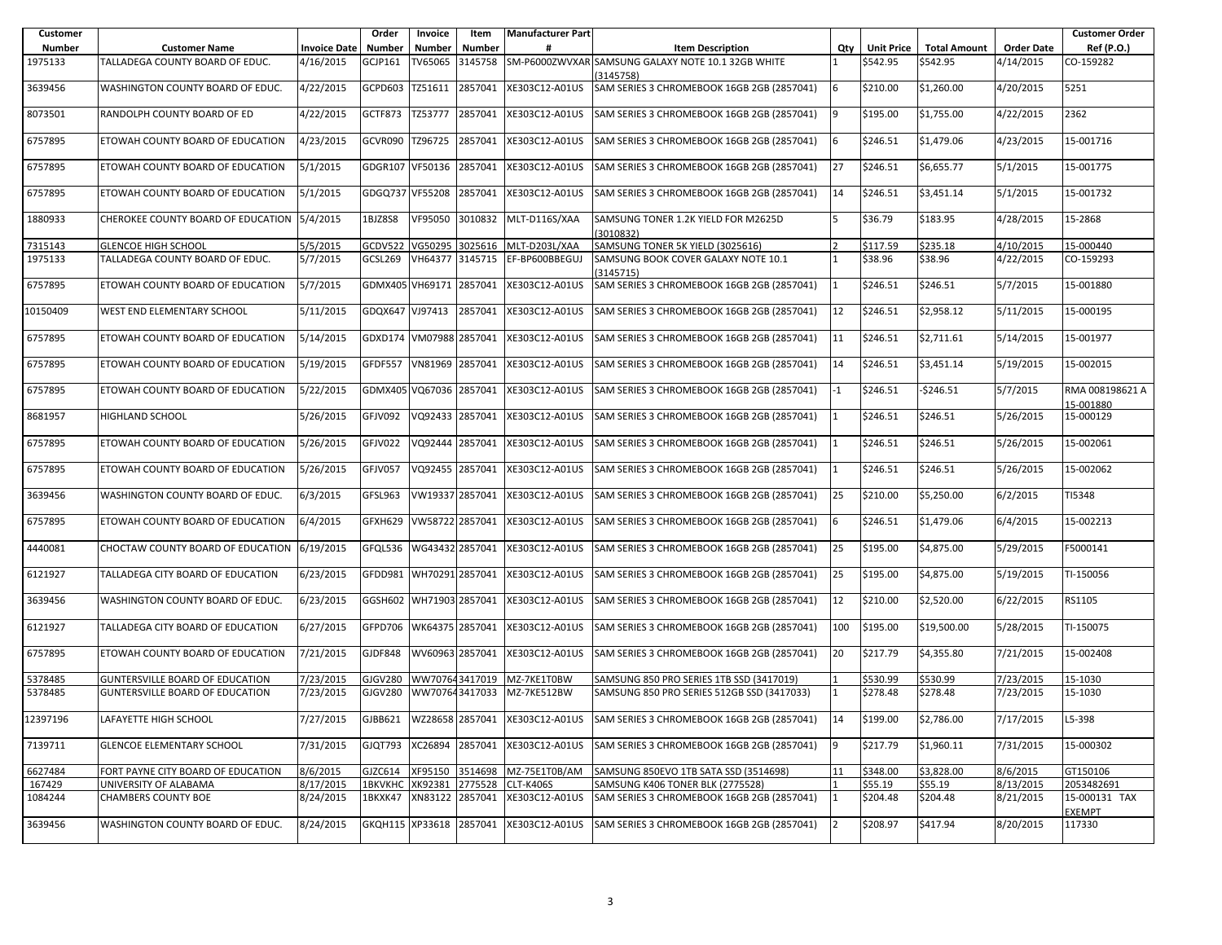| Customer |                                             |                     | Order                   | Invoice         | Item    | <b>Manufacturer Part</b> |                                                                                              |                |                   |                     |                   | <b>Customer Order</b>          |
|----------|---------------------------------------------|---------------------|-------------------------|-----------------|---------|--------------------------|----------------------------------------------------------------------------------------------|----------------|-------------------|---------------------|-------------------|--------------------------------|
| Number   | <b>Customer Name</b>                        | <b>Invoice Date</b> | <b>Number</b>           | <b>Number</b>   | Number  |                          | <b>Item Description</b>                                                                      | Qty            | <b>Unit Price</b> | <b>Total Amount</b> | <b>Order Date</b> | Ref (P.O.)                     |
| 1975133  | TALLADEGA COUNTY BOARD OF EDUC.             | 4/16/2015           | <b>GCJP161</b>          | TV65065         | 3145758 |                          | SM-P6000ZWVXAR SAMSUNG GALAXY NOTE 10.1 32GB WHITE<br>3145758)                               |                | \$542.95          | \$542.95            | 4/14/2015         | CO-159282                      |
| 3639456  | WASHINGTON COUNTY BOARD OF EDUC.            | 4/22/2015           | GCPD603                 | TZ51611         | 2857041 | XE303C12-A01US           | SAM SERIES 3 CHROMEBOOK 16GB 2GB (2857041)                                                   | 6              | \$210.00          | \$1,260.00          | 4/20/2015         | 5251                           |
| 8073501  | RANDOLPH COUNTY BOARD OF ED                 | 4/22/2015           | GCTF873                 | TZ53777         | 2857041 | XE303C12-A01US           | SAM SERIES 3 CHROMEBOOK 16GB 2GB (2857041)                                                   | 9              | \$195.00          | \$1,755.00          | 4/22/2015         | 2362                           |
| 6757895  | ETOWAH COUNTY BOARD OF EDUCATION            | 4/23/2015           | GCVR090                 | TZ96725         | 2857041 | XE303C12-A01US           | SAM SERIES 3 CHROMEBOOK 16GB 2GB (2857041)                                                   | 6              | \$246.51          | \$1,479.06          | 4/23/2015         | 15-001716                      |
| 6757895  | ETOWAH COUNTY BOARD OF EDUCATION            | 5/1/2015            | GDGR107                 | VF50136         | 2857041 | XE303C12-A01US           | SAM SERIES 3 CHROMEBOOK 16GB 2GB (2857041)                                                   | 27             | \$246.51          | \$6,655.77          | 5/1/2015          | 15-001775                      |
| 6757895  | ETOWAH COUNTY BOARD OF EDUCATION            | 5/1/2015            | GDGQ737 VF55208         |                 | 2857041 | XE303C12-A01US           | SAM SERIES 3 CHROMEBOOK 16GB 2GB (2857041)                                                   | 14             | \$246.51          | \$3,451.14          | 5/1/2015          | 15-001732                      |
| 1880933  | CHEROKEE COUNTY BOARD OF EDUCATION 5/4/2015 |                     | 1BJZ8S8                 | VF95050         | 3010832 | MLT-D116S/XAA            | SAMSUNG TONER 1.2K YIELD FOR M2625D<br>(3010832)                                             | 15             | \$36.79           | \$183.95            | 4/28/2015         | 15-2868                        |
| 7315143  | <b>GLENCOE HIGH SCHOOL</b>                  | 5/5/2015            | GCDV522                 | VG50295         | 3025616 | MLT-D203L/XAA            | SAMSUNG TONER 5K YIELD (3025616)                                                             |                | \$117.59          | \$235.18            | 4/10/2015         | 15-000440                      |
| 1975133  | TALLADEGA COUNTY BOARD OF EDUC.             | 5/7/2015            | GCSL269                 | VH64377         | 3145715 | EF-BP600BBEGUJ           | SAMSUNG BOOK COVER GALAXY NOTE 10.1<br>(3145715)                                             |                | \$38.96           | \$38.96             | 4/22/2015         | CO-159293                      |
| 6757895  | ETOWAH COUNTY BOARD OF EDUCATION            | 5/7/2015            | GDMX405 VH69171         |                 | 2857041 | XE303C12-A01US           | SAM SERIES 3 CHROMEBOOK 16GB 2GB (2857041)                                                   | $\mathbf{11}$  | \$246.51          | \$246.51            | 5/7/2015          | 15-001880                      |
| 10150409 | WEST END ELEMENTARY SCHOOL                  | 5/11/2015           | GDQX647                 | VJ97413         | 2857041 | XE303C12-A01US           | SAM SERIES 3 CHROMEBOOK 16GB 2GB (2857041)                                                   | 12             | \$246.51          | \$2,958.12          | 5/11/2015         | 15-000195                      |
| 6757895  | ETOWAH COUNTY BOARD OF EDUCATION            | 5/14/2015           | GDXD174 VM07988 2857041 |                 |         | XE303C12-A01US           | SAM SERIES 3 CHROMEBOOK 16GB 2GB (2857041)                                                   | 11             | \$246.51          | \$2,711.61          | 5/14/2015         | 15-001977                      |
| 6757895  | ETOWAH COUNTY BOARD OF EDUCATION            | 5/19/2015           | GFDF557                 | VN81969         | 2857041 | XE303C12-A01US           | SAM SERIES 3 CHROMEBOOK 16GB 2GB (2857041)                                                   | 14             | \$246.51          | \$3,451.14          | 5/19/2015         | 15-002015                      |
| 6757895  | ETOWAH COUNTY BOARD OF EDUCATION            | 5/22/2015           | GDMX405 VQ67036         |                 | 2857041 | XE303C12-A01US           | SAM SERIES 3 CHROMEBOOK 16GB 2GB (2857041)                                                   | $-1$           | \$246.51          | -\$246.51           | 5/7/2015          | RMA 008198621 A<br>15-001880   |
| 8681957  | HIGHLAND SCHOOL                             | 5/26/2015           | GFJV092                 | VQ92433         | 2857041 | XE303C12-A01US           | SAM SERIES 3 CHROMEBOOK 16GB 2GB (2857041)                                                   |                | \$246.51          | \$246.51            | 5/26/2015         | 15-000129                      |
| 6757895  | ETOWAH COUNTY BOARD OF EDUCATION            | 5/26/2015           | GFJV022                 | VQ92444         | 2857041 | XE303C12-A01US           | SAM SERIES 3 CHROMEBOOK 16GB 2GB (2857041)                                                   |                | \$246.51          | \$246.51            | 5/26/2015         | 15-002061                      |
| 6757895  | ETOWAH COUNTY BOARD OF EDUCATION            | 5/26/2015           | GFJV057                 | VQ92455         | 2857041 | XE303C12-A01US           | SAM SERIES 3 CHROMEBOOK 16GB 2GB (2857041)                                                   | 11             | \$246.51          | \$246.51            | 5/26/2015         | 15-002062                      |
| 3639456  | WASHINGTON COUNTY BOARD OF EDUC.            | 6/3/2015            | GFSL963                 | VW19337 2857041 |         | XE303C12-A01US           | SAM SERIES 3 CHROMEBOOK 16GB 2GB (2857041)                                                   | 25             | \$210.00          | \$5,250.00          | 6/2/2015          | TI5348                         |
| 6757895  | ETOWAH COUNTY BOARD OF EDUCATION            | 6/4/2015            | GFXH629                 | VW58722 2857041 |         | XE303C12-A01US           | SAM SERIES 3 CHROMEBOOK 16GB 2GB (2857041)                                                   | 6              | \$246.51          | \$1,479.06          | 6/4/2015          | 15-002213                      |
| 4440081  | CHOCTAW COUNTY BOARD OF EDUCATION 6/19/2015 |                     | GFQL536                 | WG43432 2857041 |         | XE303C12-A01US           | SAM SERIES 3 CHROMEBOOK 16GB 2GB (2857041)                                                   | 25             | \$195.00          | \$4,875.00          | 5/29/2015         | F5000141                       |
| 6121927  | TALLADEGA CITY BOARD OF EDUCATION           | 6/23/2015           | GFDD981                 | WH70291 2857041 |         | XE303C12-A01US           | SAM SERIES 3 CHROMEBOOK 16GB 2GB (2857041)                                                   | 25             | \$195.00          | \$4,875.00          | 5/19/2015         | TI-150056                      |
| 3639456  | WASHINGTON COUNTY BOARD OF EDUC.            | 6/23/2015           | GGSH602 WH71903 2857041 |                 |         | XE303C12-A01US           | SAM SERIES 3 CHROMEBOOK 16GB 2GB (2857041)                                                   | 12             | \$210.00          | \$2,520.00          | 6/22/2015         | RS1105                         |
| 6121927  | TALLADEGA CITY BOARD OF EDUCATION           | 6/27/2015           | GFPD706                 | WK64375 2857041 |         | XE303C12-A01US           | SAM SERIES 3 CHROMEBOOK 16GB 2GB (2857041)                                                   | 100            | \$195.00          | \$19,500.00         | 5/28/2015         | TI-150075                      |
| 6757895  | ETOWAH COUNTY BOARD OF EDUCATION            | 7/21/2015           | <b>GJDF848</b>          | WV60963 2857041 |         | XE303C12-A01US           | SAM SERIES 3 CHROMEBOOK 16GB 2GB (2857041)                                                   | 20             | \$217.79          | \$4,355.80          | 7/21/2015         | 15-002408                      |
| 5378485  | <b>GUNTERSVILLE BOARD OF EDUCATION</b>      | 7/23/2015           | GJGV280                 | WW707643417019  |         | MZ-7KE1T0BW              | SAMSUNG 850 PRO SERIES 1TB SSD (3417019)                                                     |                | \$530.99          | \$530.99            | 7/23/2015         | 15-1030                        |
| 5378485  | <b>GUNTERSVILLE BOARD OF EDUCATION</b>      | 7/23/2015           | GJGV280                 | WW707643417033  |         | MZ-7KE512BW              | SAMSUNG 850 PRO SERIES 512GB SSD (3417033)                                                   |                | \$278.48          | \$278.48            | 7/23/2015         | 15-1030                        |
| 12397196 | LAFAYETTE HIGH SCHOOL                       | 7/27/2015           |                         |                 |         |                          | GJBB621   WZ28658 2857041   XE303C12-A01US   SAM SERIES 3 CHROMEBOOK 16GB 2GB (2857041)   14 |                | \$199.00          | \$2,786.00          | 7/17/2015         | L5-398                         |
| 7139711  | <b>GLENCOE ELEMENTARY SCHOOL</b>            | 7/31/2015           | GJQT793                 | XC26894         | 2857041 | XE303C12-A01US           | SAM SERIES 3 CHROMEBOOK 16GB 2GB (2857041)                                                   | $\overline{9}$ | \$217.79          | \$1,960.11          | 7/31/2015         | 15-000302                      |
| 6627484  | FORT PAYNE CITY BOARD OF EDUCATION          | 8/6/2015            | GJZC614                 | XF95150         | 3514698 | MZ-75E1T0B/AM            | SAMSUNG 850EVO 1TB SATA SSD (3514698)                                                        | 11             | \$348.00          | \$3,828.00          | 8/6/2015          | GT150106                       |
| 167429   | UNIVERSITY OF ALABAMA                       | 8/17/2015           | <b>1BKVKHC XK92381</b>  |                 | 2775528 | CLT-K406S                | SAMSUNG K406 TONER BLK (2775528)                                                             |                | \$55.19           | \$55.19             | 8/13/2015         | 2053482691                     |
| 1084244  | <b>CHAMBERS COUNTY BOE</b>                  | 8/24/2015           | 1BKXK47                 | XN83122 2857041 |         | XE303C12-A01US           | SAM SERIES 3 CHROMEBOOK 16GB 2GB (2857041)                                                   | 11             | \$204.48          | \$204.48            | 8/21/2015         | 15-000131 TAX<br><b>EXEMPT</b> |
| 3639456  | WASHINGTON COUNTY BOARD OF EDUC.            | 8/24/2015           | GKQH115 XP33618 2857041 |                 |         | XE303C12-A01US           | SAM SERIES 3 CHROMEBOOK 16GB 2GB (2857041)                                                   | 12             | \$208.97          | \$417.94            | 8/20/2015         | 117330                         |